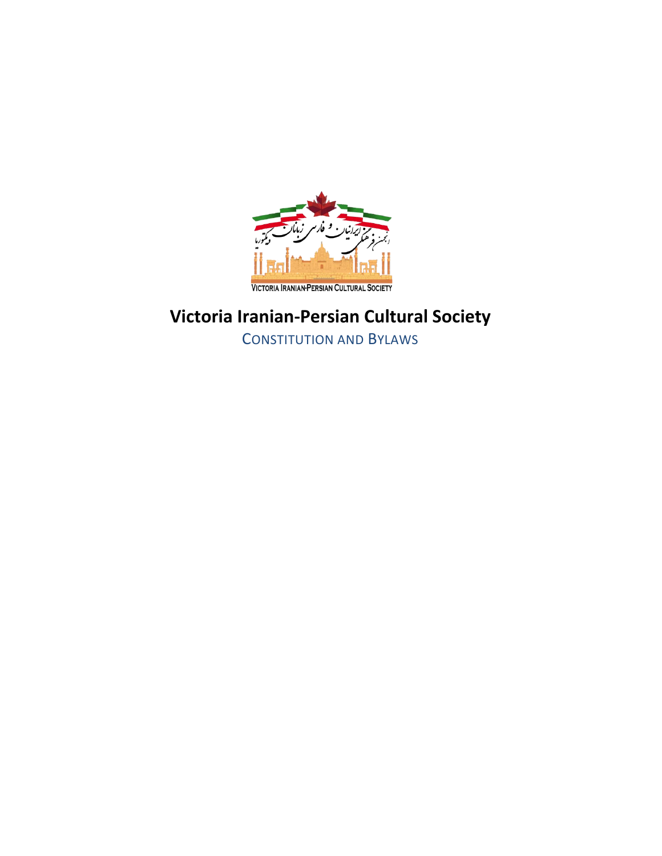

## **Victoria Iranian-Persian Cultural Society**

CONSTITUTION AND BYLAWS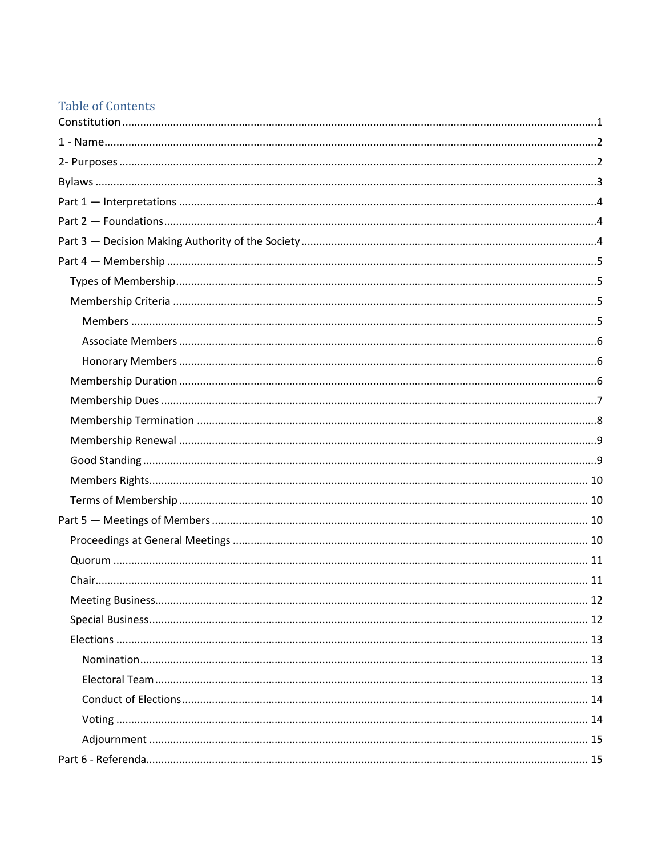## **Table of Contents**

| 12<br>Meeting Business |
|------------------------|
|                        |
|                        |
|                        |
|                        |
|                        |
|                        |
|                        |
|                        |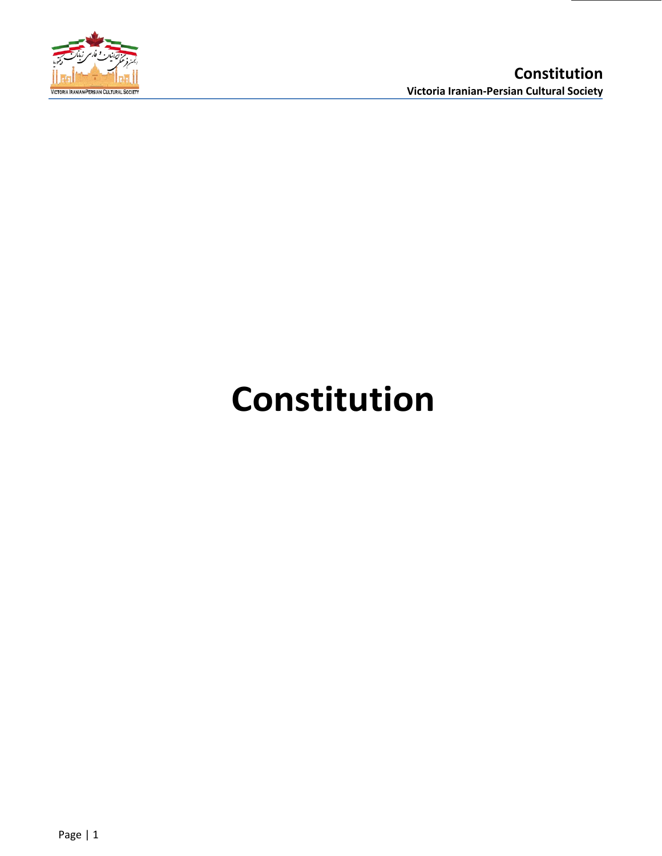

# <span id="page-3-0"></span>**Constitution**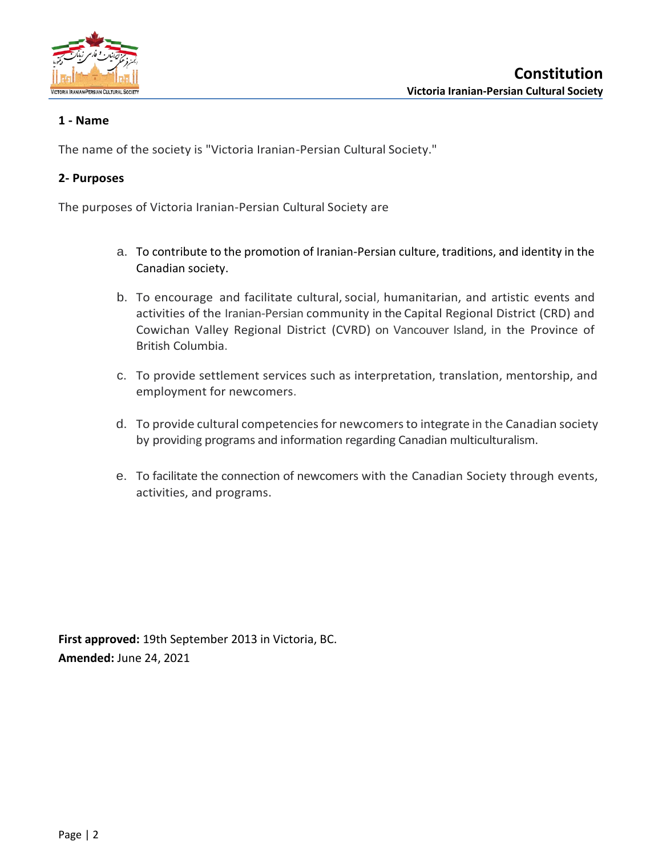

## <span id="page-4-0"></span>**1 - Name**

The name of the society is "Victoria Iranian-Persian Cultural Society."

## <span id="page-4-1"></span>**2- Purposes**

The purposes of Victoria Iranian-Persian Cultural Society are

- a. To contribute to the promotion of Iranian-Persian culture, traditions, and identity in the Canadian society.
- b. To encourage and facilitate cultural, social, humanitarian, and artistic events and activities of the Iranian-Persian community in the Capital Regional District (CRD) and Cowichan Valley Regional District (CVRD) on Vancouver Island, in the Province of British Columbia.
- c. To provide settlement services such as interpretation, translation, mentorship, and employment for newcomers.
- d. To provide cultural competencies for newcomers to integrate in the Canadian society by providing programs and information regarding Canadian multiculturalism.
- e. To facilitate the connection of newcomers with the Canadian Society through events, activities, and programs.

**First approved:** 19th September 2013 in Victoria, BC. **Amended:** June 24, 2021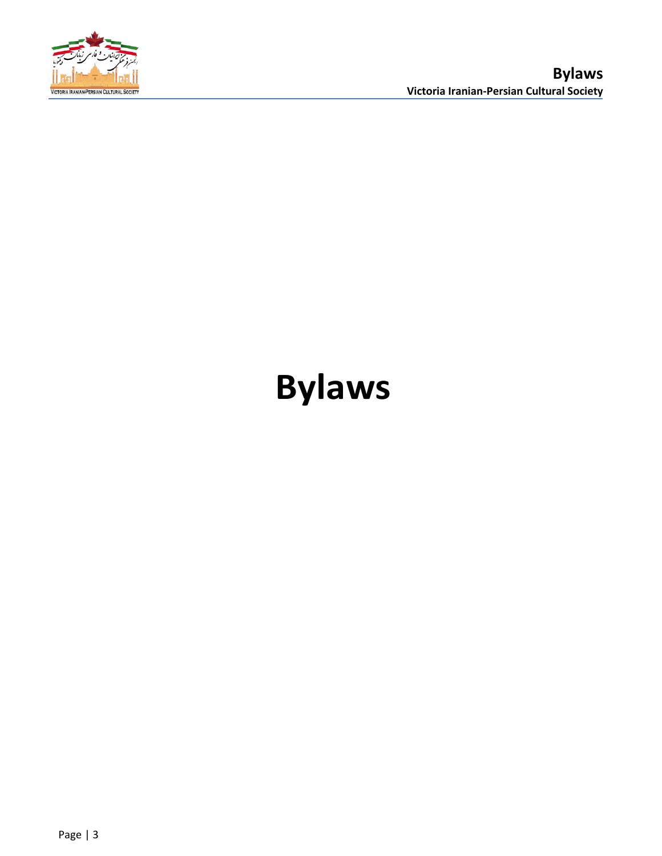

## <span id="page-5-0"></span>**Bylaws**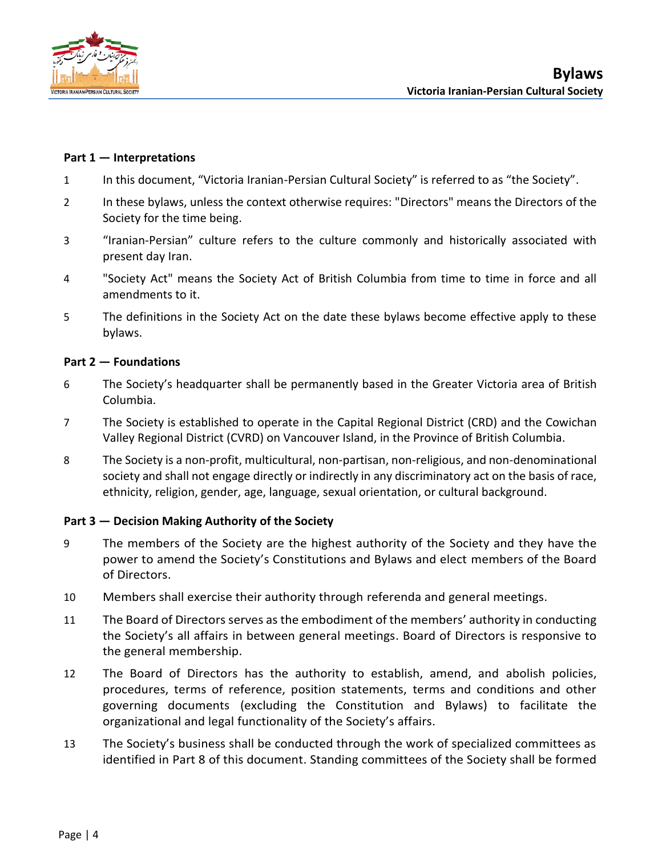

## <span id="page-6-0"></span>**Part 1 — Interpretations**

- 1 In this document, "Victoria Iranian-Persian Cultural Society" is referred to as "the Society".
- 2 In these bylaws, unless the context otherwise requires: "Directors" means the Directors of the Society for the time being.
- 3 "Iranian-Persian" culture refers to the culture commonly and historically associated with present day Iran.
- 4 "Society Act" means the Society Act of British Columbia from time to time in force and all amendments to it.
- 5 The definitions in the Society Act on the date these bylaws become effective apply to these bylaws.

## <span id="page-6-1"></span>**Part 2 — Foundations**

- 6 The Society's headquarter shall be permanently based in the Greater Victoria area of British Columbia.
- 7 The Society is established to operate in the Capital Regional District (CRD) and the Cowichan Valley Regional District (CVRD) on Vancouver Island, in the Province of British Columbia.
- 8 The Society is a non-profit, multicultural, non-partisan, non-religious, and non-denominational society and shall not engage directly or indirectly in any discriminatory act on the basis of race, ethnicity, religion, gender, age, language, sexual orientation, or cultural background.

## <span id="page-6-2"></span>**Part 3 — Decision Making Authority of the Society**

- 9 The members of the Society are the highest authority of the Society and they have the power to amend the Society's Constitutions and Bylaws and elect members of the Board of Directors.
- 10 Members shall exercise their authority through referenda and general meetings.
- 11 The Board of Directors serves as the embodiment of the members' authority in conducting the Society's all affairs in between general meetings. Board of Directors is responsive to the general membership.
- 12 The Board of Directors has the authority to establish, amend, and abolish policies, procedures, terms of reference, position statements, terms and conditions and other governing documents (excluding the Constitution and Bylaws) to facilitate the organizational and legal functionality of the Society's affairs.
- 13 The Society's business shall be conducted through the work of specialized committees as identified in Part 8 of this document. Standing committees of the Society shall be formed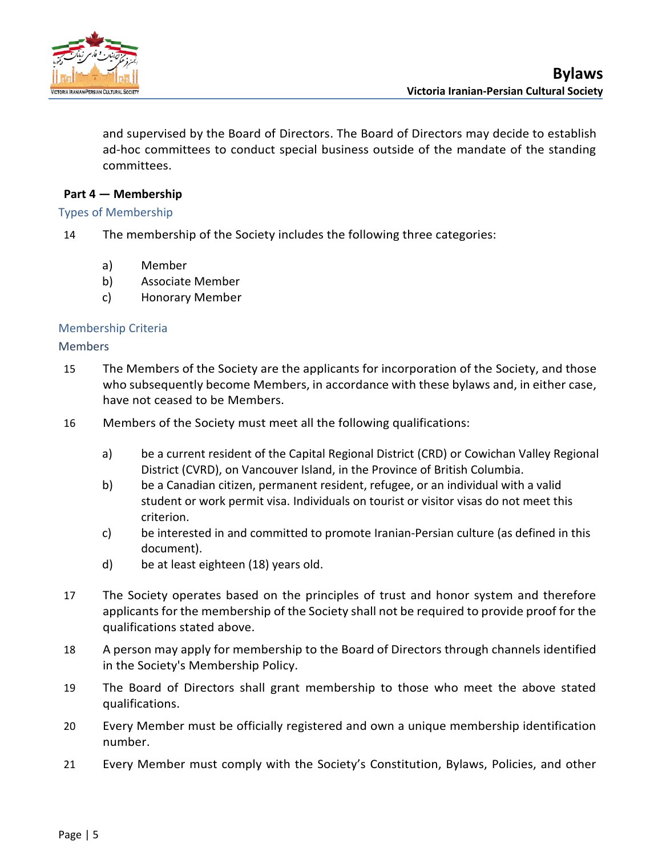

and supervised by the Board of Directors. The Board of Directors may decide to establish ad-hoc committees to conduct special business outside of the mandate of the standing committees.

## <span id="page-7-0"></span>**Part 4 — Membership**

## <span id="page-7-1"></span>Types of Membership

- 14 The membership of the Society includes the following three categories:
	- a) Member
	- b) Associate Member
	- c) Honorary Member

## <span id="page-7-2"></span>Membership Criteria

## <span id="page-7-3"></span>**Members**

- 15 The Members of the Society are the applicants for incorporation of the Society, and those who subsequently become Members, in accordance with these bylaws and, in either case, have not ceased to be Members.
- 16 Members of the Society must meet all the following qualifications:
	- a) be a current resident of the Capital Regional District (CRD) or Cowichan Valley Regional District (CVRD), on Vancouver Island, in the Province of British Columbia.
	- b) be a Canadian citizen, permanent resident, refugee, or an individual with a valid student or work permit visa. Individuals on tourist or visitor visas do not meet this criterion.
	- c) be interested in and committed to promote Iranian-Persian culture (as defined in this document).
	- d) be at least eighteen (18) years old.
- 17 The Society operates based on the principles of trust and honor system and therefore applicants for the membership of the Society shall not be required to provide proof for the qualifications stated above.
- 18 A person may apply for membership to the Board of Directors through channels identified in the Society's Membership Policy.
- 19 The Board of Directors shall grant membership to those who meet the above stated qualifications.
- 20 Every Member must be officially registered and own a unique membership identification number.
- 21 Every Member must comply with the Society's Constitution, Bylaws, Policies, and other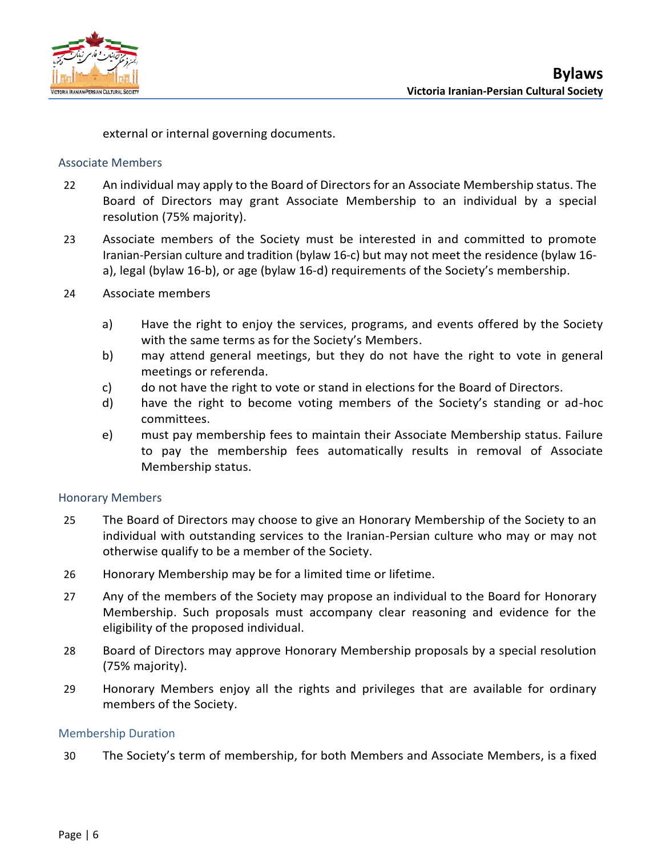

external or internal governing documents.

## <span id="page-8-0"></span>Associate Members

- 22 An individual may apply to the Board of Directors for an Associate Membership status. The Board of Directors may grant Associate Membership to an individual by a special resolution (75% majority).
- 23 Associate members of the Society must be interested in and committed to promote Iranian-Persian culture and tradition (bylaw 16-c) but may not meet the residence (bylaw 16 a), legal (bylaw 16-b), or age (bylaw 16-d) requirements of the Society's membership.
- 24 Associate members
	- a) Have the right to enjoy the services, programs, and events offered by the Society with the same terms as for the Society's Members.
	- b) may attend general meetings, but they do not have the right to vote in general meetings or referenda.
	- c) do not have the right to vote or stand in elections for the Board of Directors.
	- d) have the right to become voting members of the Society's standing or ad-hoc committees.
	- e) must pay membership fees to maintain their Associate Membership status. Failure to pay the membership fees automatically results in removal of Associate Membership status.

## <span id="page-8-1"></span>Honorary Members

- 25 The Board of Directors may choose to give an Honorary Membership of the Society to an individual with outstanding services to the Iranian-Persian culture who may or may not otherwise qualify to be a member of the Society.
- 26 Honorary Membership may be for a limited time or lifetime.
- 27 Any of the members of the Society may propose an individual to the Board for Honorary Membership. Such proposals must accompany clear reasoning and evidence for the eligibility of the proposed individual.
- 28 Board of Directors may approve Honorary Membership proposals by a special resolution (75% majority).
- 29 Honorary Members enjoy all the rights and privileges that are available for ordinary members of the Society.

## <span id="page-8-2"></span>Membership Duration

30 The Society's term of membership, for both Members and Associate Members, is a fixed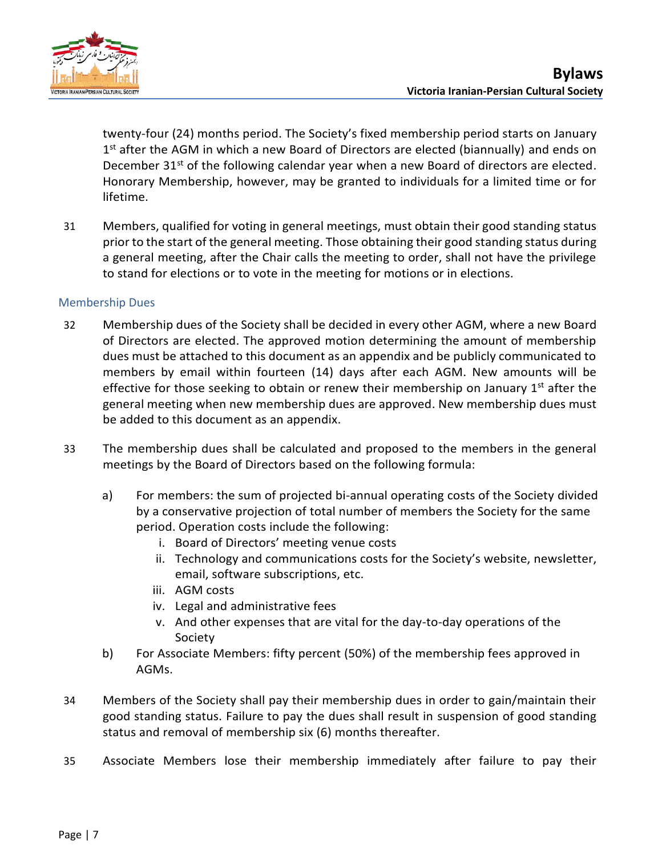

twenty-four (24) months period. The Society's fixed membership period starts on January 1<sup>st</sup> after the AGM in which a new Board of Directors are elected (biannually) and ends on December  $31^{st}$  of the following calendar year when a new Board of directors are elected. Honorary Membership, however, may be granted to individuals for a limited time or for lifetime.

31 Members, qualified for voting in general meetings, must obtain their good standing status prior to the start of the general meeting. Those obtaining their good standing status during a general meeting, after the Chair calls the meeting to order, shall not have the privilege to stand for elections or to vote in the meeting for motions or in elections.

## <span id="page-9-0"></span>Membership Dues

- 32 Membership dues of the Society shall be decided in every other AGM, where a new Board of Directors are elected. The approved motion determining the amount of membership dues must be attached to this document as an appendix and be publicly communicated to members by email within fourteen (14) days after each AGM. New amounts will be effective for those seeking to obtain or renew their membership on January  $1<sup>st</sup>$  after the general meeting when new membership dues are approved. New membership dues must be added to this document as an appendix.
- 33 The membership dues shall be calculated and proposed to the members in the general meetings by the Board of Directors based on the following formula:
	- a) For members: the sum of projected bi-annual operating costs of the Society divided by a conservative projection of total number of members the Society for the same period. Operation costs include the following:
		- i. Board of Directors' meeting venue costs
		- ii. Technology and communications costs for the Society's website, newsletter, email, software subscriptions, etc.
		- iii. AGM costs
		- iv. Legal and administrative fees
		- v. And other expenses that are vital for the day-to-day operations of the Society
	- b) For Associate Members: fifty percent (50%) of the membership fees approved in AGMs.
- 34 Members of the Society shall pay their membership dues in order to gain/maintain their good standing status. Failure to pay the dues shall result in suspension of good standing status and removal of membership six (6) months thereafter.
- 35 Associate Members lose their membership immediately after failure to pay their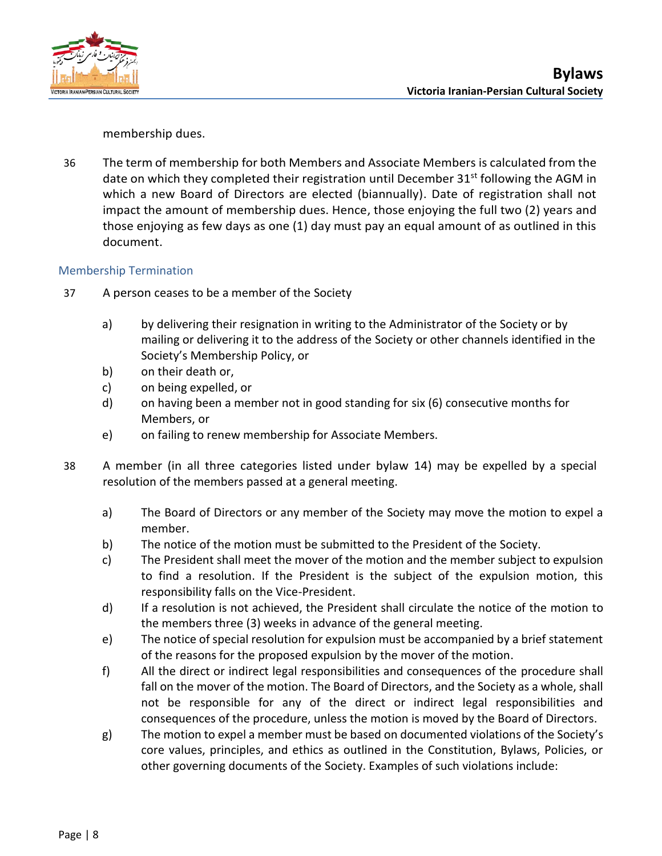



membership dues.

36 The term of membership for both Members and Associate Members is calculated from the date on which they completed their registration until December 31<sup>st</sup> following the AGM in which a new Board of Directors are elected (biannually). Date of registration shall not impact the amount of membership dues. Hence, those enjoying the full two (2) years and those enjoying as few days as one (1) day must pay an equal amount of as outlined in this document.

## <span id="page-10-0"></span>Membership Termination

- 37 A person ceases to be a member of the Society
	- a) by delivering their resignation in writing to the Administrator of the Society or by mailing or delivering it to the address of the Society or other channels identified in the Society's Membership Policy, or
	- b) on their death or,
	- c) on being expelled, or
	- d) on having been a member not in good standing for six (6) consecutive months for Members, or
	- e) on failing to renew membership for Associate Members.
- 38 A member (in all three categories listed under bylaw 14) may be expelled by a special resolution of the members passed at a general meeting.
	- a) The Board of Directors or any member of the Society may move the motion to expel a member.
	- b) The notice of the motion must be submitted to the President of the Society.
	- c) The President shall meet the mover of the motion and the member subject to expulsion to find a resolution. If the President is the subject of the expulsion motion, this responsibility falls on the Vice-President.
	- d) If a resolution is not achieved, the President shall circulate the notice of the motion to the members three (3) weeks in advance of the general meeting.
	- e) The notice of special resolution for expulsion must be accompanied by a brief statement of the reasons for the proposed expulsion by the mover of the motion.
	- f) All the direct or indirect legal responsibilities and consequences of the procedure shall fall on the mover of the motion. The Board of Directors, and the Society as a whole, shall not be responsible for any of the direct or indirect legal responsibilities and consequences of the procedure, unless the motion is moved by the Board of Directors.
	- g) The motion to expel a member must be based on documented violations of the Society's core values, principles, and ethics as outlined in the Constitution, Bylaws, Policies, or other governing documents of the Society. Examples of such violations include: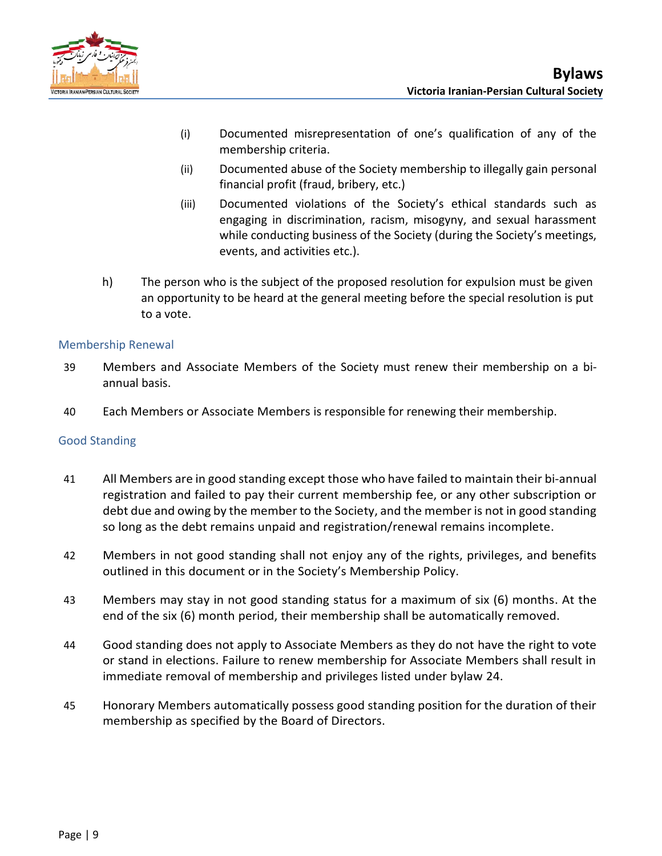

- (i) Documented misrepresentation of one's qualification of any of the membership criteria.
- (ii) Documented abuse of the Society membership to illegally gain personal financial profit (fraud, bribery, etc.)
- (iii) Documented violations of the Society's ethical standards such as engaging in discrimination, racism, misogyny, and sexual harassment while conducting business of the Society (during the Society's meetings, events, and activities etc.).
- h) The person who is the subject of the proposed resolution for expulsion must be given an opportunity to be heard at the general meeting before the special resolution is put to a vote.

## <span id="page-11-0"></span>Membership Renewal

- 39 Members and Associate Members of the Society must renew their membership on a biannual basis.
- 40 Each Members or Associate Members is responsible for renewing their membership.

## <span id="page-11-1"></span>Good Standing

- 41 All Members are in good standing except those who have failed to maintain their bi-annual registration and failed to pay their current membership fee, or any other subscription or debt due and owing by the member to the Society, and the member is not in good standing so long as the debt remains unpaid and registration/renewal remains incomplete.
- 42 Members in not good standing shall not enjoy any of the rights, privileges, and benefits outlined in this document or in the Society's Membership Policy.
- 43 Members may stay in not good standing status for a maximum of six (6) months. At the end of the six (6) month period, their membership shall be automatically removed.
- 44 Good standing does not apply to Associate Members as they do not have the right to vote or stand in elections. Failure to renew membership for Associate Members shall result in immediate removal of membership and privileges listed under bylaw 24.
- 45 Honorary Members automatically possess good standing position for the duration of their membership as specified by the Board of Directors.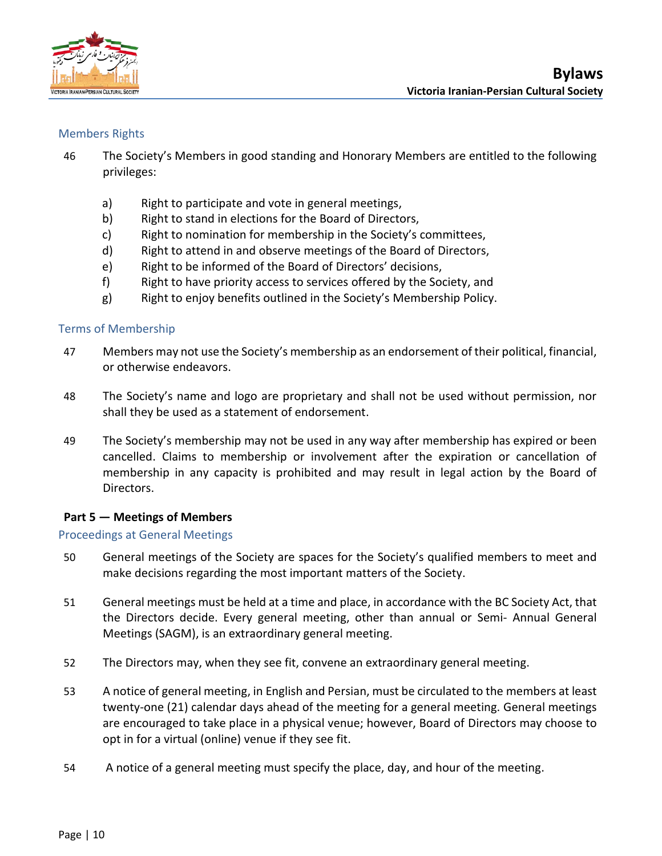

## <span id="page-12-0"></span>Members Rights

- 46 The Society's Members in good standing and Honorary Members are entitled to the following privileges:
	- a) Right to participate and vote in general meetings,
	- b) Right to stand in elections for the Board of Directors,
	- c) Right to nomination for membership in the Society's committees,
	- d) Right to attend in and observe meetings of the Board of Directors,
	- e) Right to be informed of the Board of Directors' decisions,
	- f) Right to have priority access to services offered by the Society, and
	- g) Right to enjoy benefits outlined in the Society's Membership Policy.

## <span id="page-12-1"></span>Terms of Membership

- 47 Members may not use the Society's membership as an endorsement of their political, financial, or otherwise endeavors.
- 48 The Society's name and logo are proprietary and shall not be used without permission, nor shall they be used as a statement of endorsement.
- 49 The Society's membership may not be used in any way after membership has expired or been cancelled. Claims to membership or involvement after the expiration or cancellation of membership in any capacity is prohibited and may result in legal action by the Board of Directors.

## <span id="page-12-2"></span>**Part 5 — Meetings of Members**

## <span id="page-12-3"></span>Proceedings at General Meetings

- 50 General meetings of the Society are spaces for the Society's qualified members to meet and make decisions regarding the most important matters of the Society.
- 51 General meetings must be held at a time and place, in accordance with the BC Society Act, that the Directors decide. Every general meeting, other than annual or Semi- Annual General Meetings (SAGM), is an extraordinary general meeting.
- 52 The Directors may, when they see fit, convene an extraordinary general meeting.
- 53 A notice of general meeting, in English and Persian, must be circulated to the members at least twenty-one (21) calendar days ahead of the meeting for a general meeting. General meetings are encouraged to take place in a physical venue; however, Board of Directors may choose to opt in for a virtual (online) venue if they see fit.
- 54 A notice of a general meeting must specify the place, day, and hour of the meeting.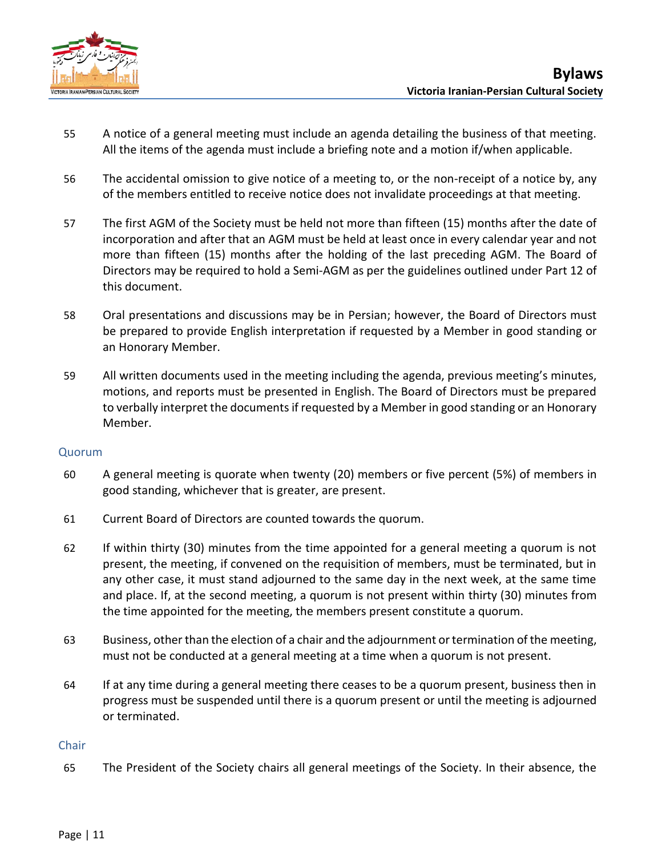

- 55 A notice of a general meeting must include an agenda detailing the business of that meeting. All the items of the agenda must include a briefing note and a motion if/when applicable.
- 56 The accidental omission to give notice of a meeting to, or the non-receipt of a notice by, any of the members entitled to receive notice does not invalidate proceedings at that meeting.
- 57 The first AGM of the Society must be held not more than fifteen (15) months after the date of incorporation and after that an AGM must be held at least once in every calendar year and not more than fifteen (15) months after the holding of the last preceding AGM. The Board of Directors may be required to hold a Semi-AGM as per the guidelines outlined under Part 12 of this document.
- 58 Oral presentations and discussions may be in Persian; however, the Board of Directors must be prepared to provide English interpretation if requested by a Member in good standing or an Honorary Member.
- 59 All written documents used in the meeting including the agenda, previous meeting's minutes, motions, and reports must be presented in English. The Board of Directors must be prepared to verbally interpret the documents if requested by a Member in good standing or an Honorary Member.

## <span id="page-13-0"></span>Quorum

- 60 A general meeting is quorate when twenty (20) members or five percent (5%) of members in good standing, whichever that is greater, are present.
- 61 Current Board of Directors are counted towards the quorum.
- 62 If within thirty (30) minutes from the time appointed for a general meeting a quorum is not present, the meeting, if convened on the requisition of members, must be terminated, but in any other case, it must stand adjourned to the same day in the next week, at the same time and place. If, at the second meeting, a quorum is not present within thirty (30) minutes from the time appointed for the meeting, the members present constitute a quorum.
- 63 Business, other than the election of a chair and the adjournment or termination of the meeting, must not be conducted at a general meeting at a time when a quorum is not present.
- 64 If at any time during a general meeting there ceases to be a quorum present, business then in progress must be suspended until there is a quorum present or until the meeting is adjourned or terminated.

## <span id="page-13-1"></span>**Chair**

65 The President of the Society chairs all general meetings of the Society. In their absence, the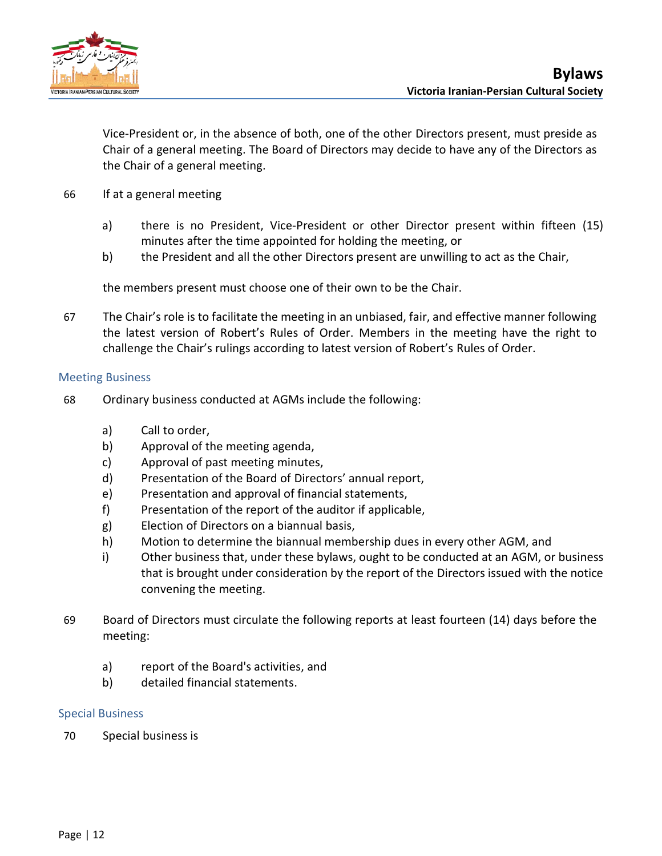

Vice-President or, in the absence of both, one of the other Directors present, must preside as Chair of a general meeting. The Board of Directors may decide to have any of the Directors as the Chair of a general meeting.

- 66 If at a general meeting
	- a) there is no President, Vice-President or other Director present within fifteen (15) minutes after the time appointed for holding the meeting, or
	- b) the President and all the other Directors present are unwilling to act as the Chair,

the members present must choose one of their own to be the Chair.

67 The Chair's role is to facilitate the meeting in an unbiased, fair, and effective manner following the latest version of Robert's Rules of Order. Members in the meeting have the right to challenge the Chair's rulings according to latest version of Robert's Rules of Order.

## <span id="page-14-0"></span>Meeting Business

- 68 Ordinary business conducted at AGMs include the following:
	- a) Call to order,
	- b) Approval of the meeting agenda,
	- c) Approval of past meeting minutes,
	- d) Presentation of the Board of Directors' annual report,
	- e) Presentation and approval of financial statements,
	- f) Presentation of the report of the auditor if applicable,
	- g) Election of Directors on a biannual basis,
	- h) Motion to determine the biannual membership dues in every other AGM, and
	- i) Other business that, under these bylaws, ought to be conducted at an AGM, or business that is brought under consideration by the report of the Directors issued with the notice convening the meeting.
- 69 Board of Directors must circulate the following reports at least fourteen (14) days before the meeting:
	- a) report of the Board's activities, and
	- b) detailed financial statements.

## <span id="page-14-1"></span>Special Business

70 Special businessis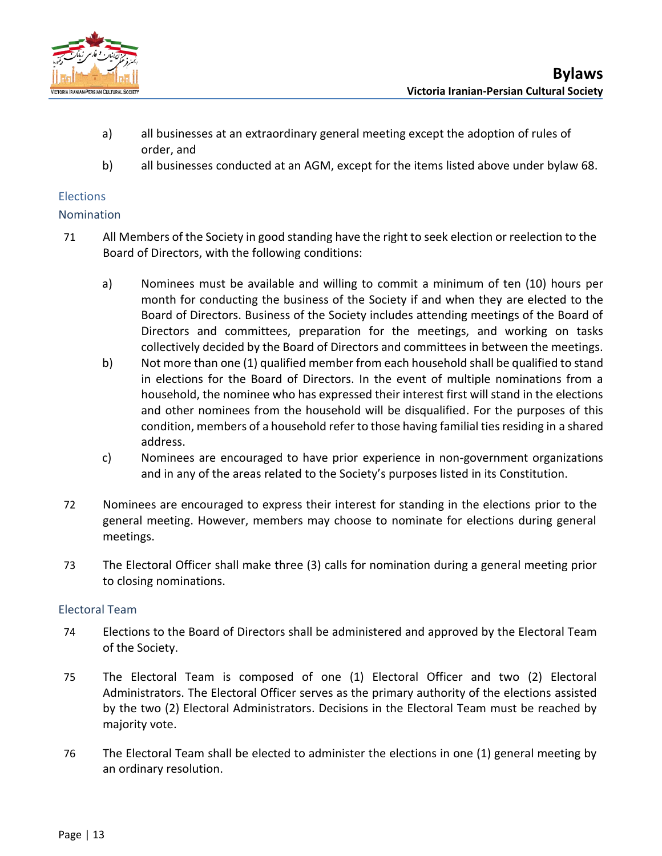

- a) all businesses at an extraordinary general meeting except the adoption of rules of order, and
- b) all businesses conducted at an AGM, except for the items listed above under bylaw 68.

## <span id="page-15-0"></span>**Elections**

## <span id="page-15-1"></span>Nomination

- 71 All Members of the Society in good standing have the right to seek election or reelection to the Board of Directors, with the following conditions:
	- a) Nominees must be available and willing to commit a minimum of ten (10) hours per month for conducting the business of the Society if and when they are elected to the Board of Directors. Business of the Society includes attending meetings of the Board of Directors and committees, preparation for the meetings, and working on tasks collectively decided by the Board of Directors and committees in between the meetings.
	- b) Not more than one (1) qualified member from each household shall be qualified to stand in elections for the Board of Directors. In the event of multiple nominations from a household, the nominee who has expressed their interest first will stand in the elections and other nominees from the household will be disqualified. For the purposes of this condition, members of a household refer to those having familial ties residing in a shared address.
	- c) Nominees are encouraged to have prior experience in non-government organizations and in any of the areas related to the Society's purposes listed in its Constitution.
- 72 Nominees are encouraged to express their interest for standing in the elections prior to the general meeting. However, members may choose to nominate for elections during general meetings.
- 73 The Electoral Officer shall make three (3) calls for nomination during a general meeting prior to closing nominations.

## <span id="page-15-2"></span>Electoral Team

- 74 Elections to the Board of Directors shall be administered and approved by the Electoral Team of the Society.
- 75 The Electoral Team is composed of one (1) Electoral Officer and two (2) Electoral Administrators. The Electoral Officer serves as the primary authority of the elections assisted by the two (2) Electoral Administrators. Decisions in the Electoral Team must be reached by majority vote.
- 76 The Electoral Team shall be elected to administer the elections in one (1) general meeting by an ordinary resolution.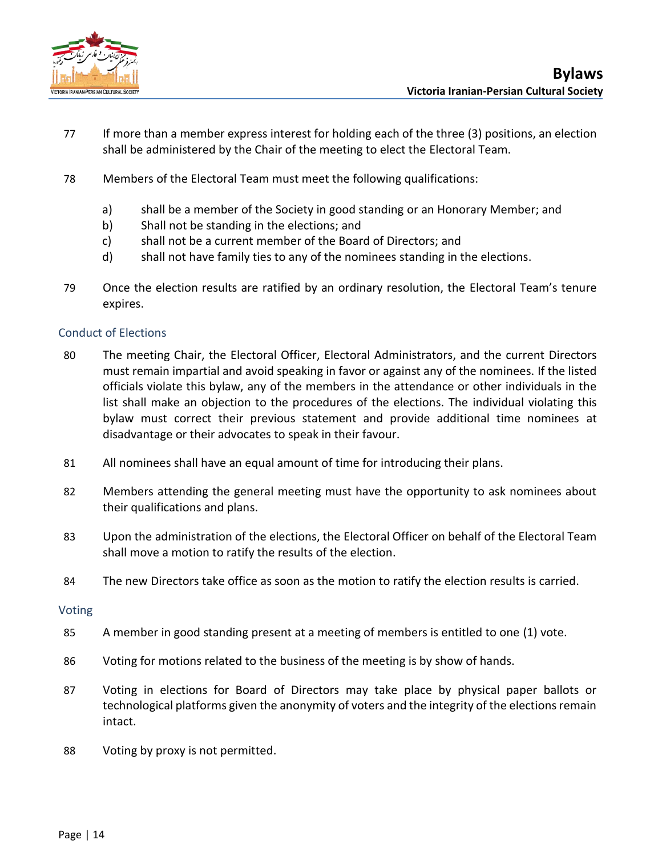

- 77 If more than a member express interest for holding each of the three (3) positions, an election shall be administered by the Chair of the meeting to elect the Electoral Team.
- 78 Members of the Electoral Team must meet the following qualifications:
	- a) shall be a member of the Society in good standing or an Honorary Member; and
	- b) Shall not be standing in the elections; and
	- c) shall not be a current member of the Board of Directors; and
	- d) shall not have family ties to any of the nominees standing in the elections.
- 79 Once the election results are ratified by an ordinary resolution, the Electoral Team's tenure expires.

## <span id="page-16-0"></span>Conduct of Elections

- 80 The meeting Chair, the Electoral Officer, Electoral Administrators, and the current Directors must remain impartial and avoid speaking in favor or against any of the nominees. If the listed officials violate this bylaw, any of the members in the attendance or other individuals in the list shall make an objection to the procedures of the elections. The individual violating this bylaw must correct their previous statement and provide additional time nominees at disadvantage or their advocates to speak in their favour.
- 81 All nominees shall have an equal amount of time for introducing their plans.
- 82 Members attending the general meeting must have the opportunity to ask nominees about their qualifications and plans.
- 83 Upon the administration of the elections, the Electoral Officer on behalf of the Electoral Team shall move a motion to ratify the results of the election.
- 84 The new Directors take office as soon as the motion to ratify the election results is carried.

## <span id="page-16-1"></span>Voting

- 85 A member in good standing present at a meeting of members is entitled to one (1) vote.
- 86 Voting for motions related to the business of the meeting is by show of hands.
- 87 Voting in elections for Board of Directors may take place by physical paper ballots or technological platforms given the anonymity of voters and the integrity of the elections remain intact.
- 88 Voting by proxy is not permitted.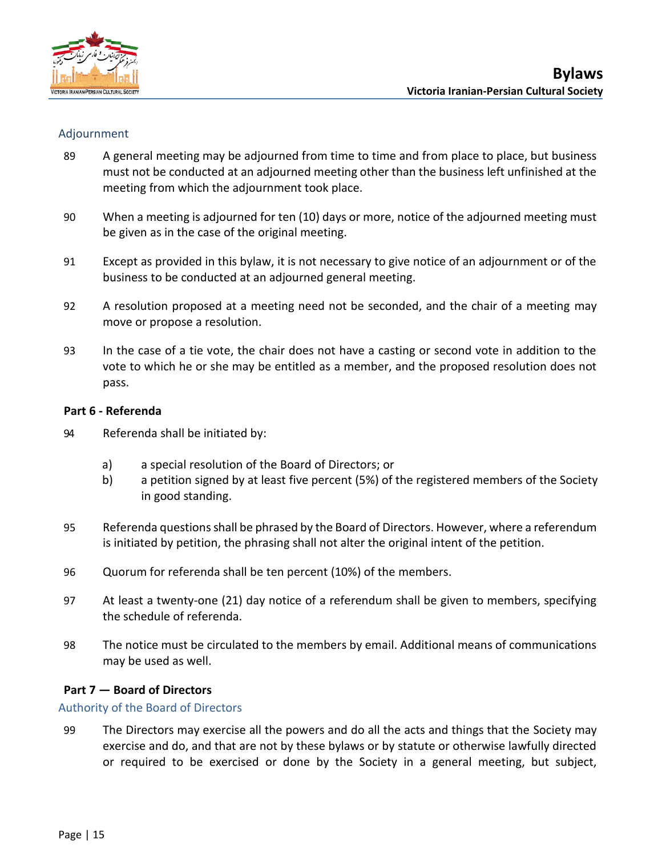

## <span id="page-17-0"></span>Adjournment

- 89 A general meeting may be adjourned from time to time and from place to place, but business must not be conducted at an adjourned meeting other than the business left unfinished at the meeting from which the adjournment took place.
- 90 When a meeting is adjourned for ten (10) days or more, notice of the adjourned meeting must be given as in the case of the original meeting.
- 91 Except as provided in this bylaw, it is not necessary to give notice of an adjournment or of the business to be conducted at an adjourned general meeting.
- 92 A resolution proposed at a meeting need not be seconded, and the chair of a meeting may move or propose a resolution.
- 93 In the case of a tie vote, the chair does not have a casting or second vote in addition to the vote to which he or she may be entitled as a member, and the proposed resolution does not pass.

## <span id="page-17-1"></span>**Part 6 - Referenda**

- 94 Referenda shall be initiated by:
	- a) a special resolution of the Board of Directors; or
	- b) a petition signed by at least five percent (5%) of the registered members of the Society in good standing.
- 95 Referenda questions shall be phrased by the Board of Directors. However, where a referendum is initiated by petition, the phrasing shall not alter the original intent of the petition.
- 96 Quorum for referenda shall be ten percent (10%) of the members.
- 97 At least a twenty-one (21) day notice of a referendum shall be given to members, specifying the schedule of referenda.
- 98 The notice must be circulated to the members by email. Additional means of communications may be used as well.

## <span id="page-17-2"></span>**Part 7 — Board of Directors**

## <span id="page-17-3"></span>Authority of the Board of Directors

99 The Directors may exercise all the powers and do all the acts and things that the Society may exercise and do, and that are not by these bylaws or by statute or otherwise lawfully directed or required to be exercised or done by the Society in a general meeting, but subject,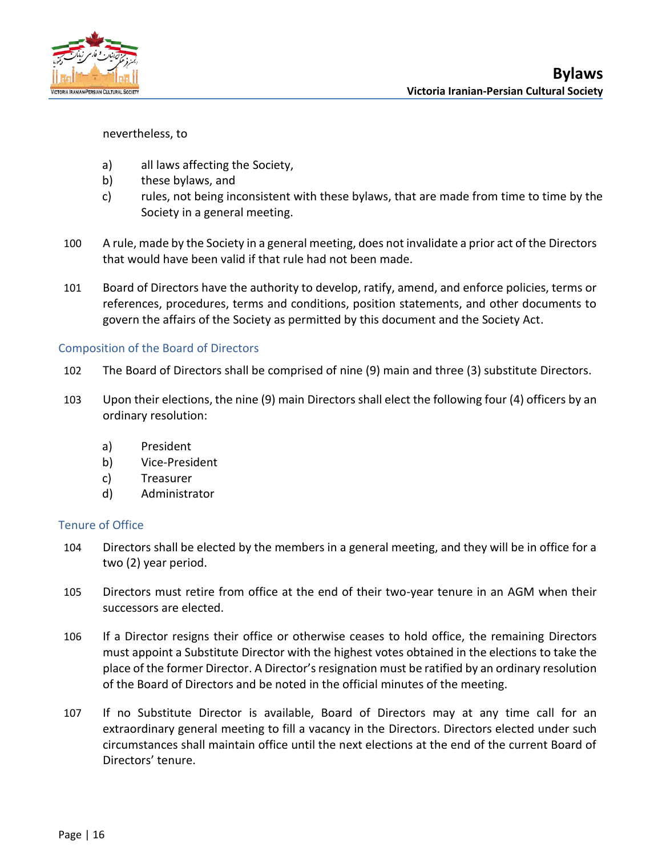

nevertheless, to

- a) all laws affecting the Society,
- b) these bylaws, and
- c) rules, not being inconsistent with these bylaws, that are made from time to time by the Society in a general meeting.
- 100 A rule, made by the Society in a general meeting, does not invalidate a prior act of the Directors that would have been valid if that rule had not been made.
- 101 Board of Directors have the authority to develop, ratify, amend, and enforce policies, terms or references, procedures, terms and conditions, position statements, and other documents to govern the affairs of the Society as permitted by this document and the Society Act.

## <span id="page-18-0"></span>Composition of the Board of Directors

- 102 The Board of Directors shall be comprised of nine (9) main and three (3) substitute Directors.
- 103 Upon their elections, the nine (9) main Directors shall elect the following four (4) officers by an ordinary resolution:
	- a) President
	- b) Vice-President
	- c) Treasurer
	- d) Administrator

## <span id="page-18-1"></span>Tenure of Office

- 104 Directors shall be elected by the members in a general meeting, and they will be in office for a two (2) year period.
- 105 Directors must retire from office at the end of their two-year tenure in an AGM when their successors are elected.
- 106 If a Director resigns their office or otherwise ceases to hold office, the remaining Directors must appoint a Substitute Director with the highest votes obtained in the elections to take the place of the former Director. A Director's resignation must be ratified by an ordinary resolution of the Board of Directors and be noted in the official minutes of the meeting.
- 107 If no Substitute Director is available, Board of Directors may at any time call for an extraordinary general meeting to fill a vacancy in the Directors. Directors elected under such circumstances shall maintain office until the next elections at the end of the current Board of Directors' tenure.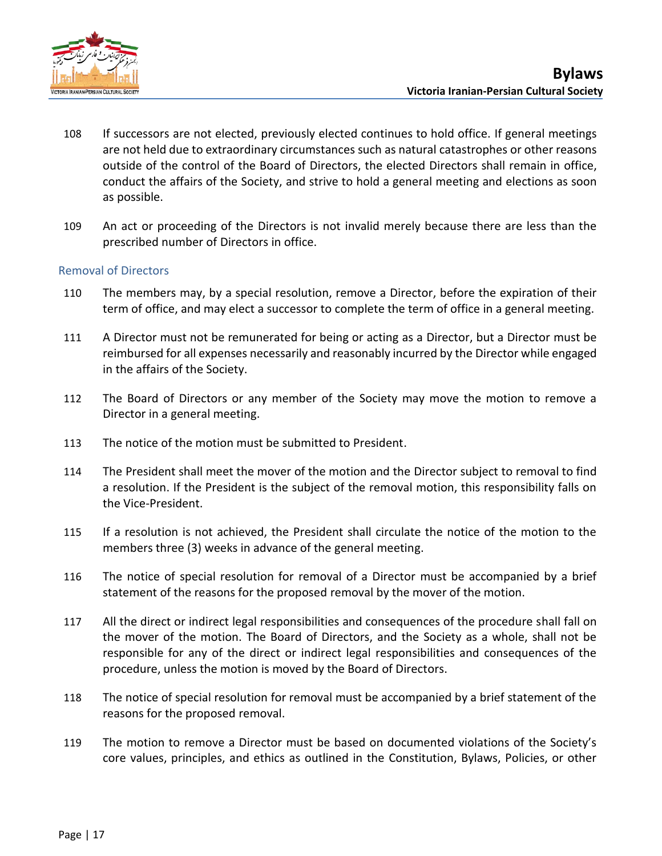

- 108 If successors are not elected, previously elected continues to hold office. If general meetings are not held due to extraordinary circumstances such as natural catastrophes or other reasons outside of the control of the Board of Directors, the elected Directors shall remain in office, conduct the affairs of the Society, and strive to hold a general meeting and elections as soon as possible.
- 109 An act or proceeding of the Directors is not invalid merely because there are less than the prescribed number of Directors in office.

## <span id="page-19-0"></span>Removal of Directors

- 110 The members may, by a special resolution, remove a Director, before the expiration of their term of office, and may elect a successor to complete the term of office in a general meeting.
- 111 A Director must not be remunerated for being or acting as a Director, but a Director must be reimbursed for all expenses necessarily and reasonably incurred by the Director while engaged in the affairs of the Society.
- 112 The Board of Directors or any member of the Society may move the motion to remove a Director in a general meeting.
- 113 The notice of the motion must be submitted to President.
- 114 The President shall meet the mover of the motion and the Director subject to removal to find a resolution. If the President is the subject of the removal motion, this responsibility falls on the Vice-President.
- 115 If a resolution is not achieved, the President shall circulate the notice of the motion to the members three (3) weeks in advance of the general meeting.
- 116 The notice of special resolution for removal of a Director must be accompanied by a brief statement of the reasons for the proposed removal by the mover of the motion.
- 117 All the direct or indirect legal responsibilities and consequences of the procedure shall fall on the mover of the motion. The Board of Directors, and the Society as a whole, shall not be responsible for any of the direct or indirect legal responsibilities and consequences of the procedure, unless the motion is moved by the Board of Directors.
- 118 The notice of special resolution for removal must be accompanied by a brief statement of the reasons for the proposed removal.
- 119 The motion to remove a Director must be based on documented violations of the Society's core values, principles, and ethics as outlined in the Constitution, Bylaws, Policies, or other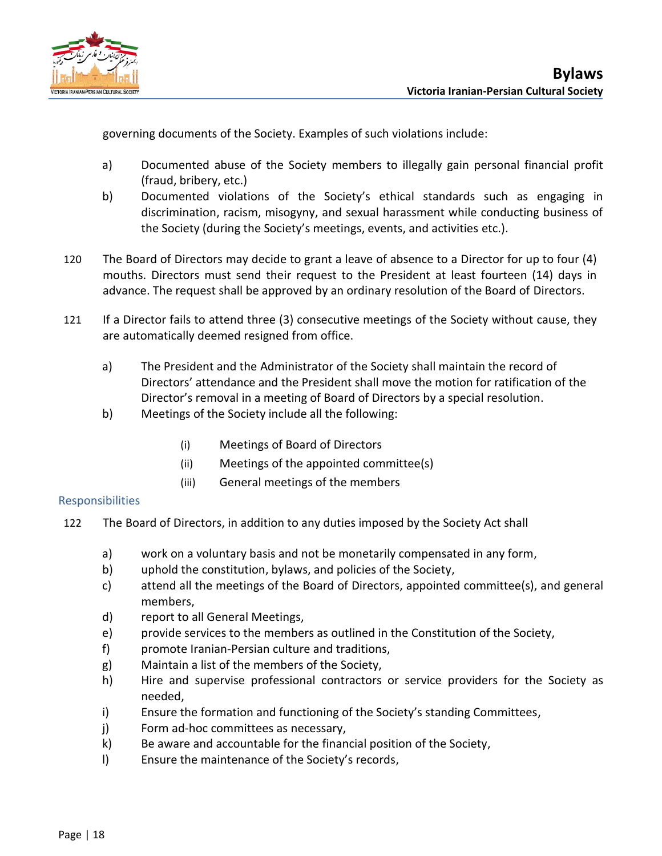

governing documents of the Society. Examples of such violations include:

- a) Documented abuse of the Society members to illegally gain personal financial profit (fraud, bribery, etc.)
- b) Documented violations of the Society's ethical standards such as engaging in discrimination, racism, misogyny, and sexual harassment while conducting business of the Society (during the Society's meetings, events, and activities etc.).
- 120 The Board of Directors may decide to grant a leave of absence to a Director for up to four (4) mouths. Directors must send their request to the President at least fourteen (14) days in advance. The request shall be approved by an ordinary resolution of the Board of Directors.
- 121 If a Director fails to attend three (3) consecutive meetings of the Society without cause, they are automatically deemed resigned from office.
	- a) The President and the Administrator of the Society shall maintain the record of Directors' attendance and the President shall move the motion for ratification of the Director's removal in a meeting of Board of Directors by a special resolution.
	- b) Meetings of the Society include all the following:
		- (i) Meetings of Board of Directors
		- (ii) Meetings of the appointed committee(s)
		- (iii) General meetings of the members

## <span id="page-20-0"></span>Responsibilities

- 122 The Board of Directors, in addition to any duties imposed by the Society Act shall
	- a) work on a voluntary basis and not be monetarily compensated in any form,
	- b) uphold the constitution, bylaws, and policies of the Society,
	- c) attend all the meetings of the Board of Directors, appointed committee(s), and general members,
	- d) report to all General Meetings,
	- e) provide services to the members as outlined in the Constitution of the Society,
	- f) promote Iranian-Persian culture and traditions,
	- g) Maintain a list of the members of the Society,
	- h) Hire and supervise professional contractors or service providers for the Society as needed,
	- i) Ensure the formation and functioning of the Society's standing Committees,
	- j) Form ad-hoc committees as necessary,
	- k) Be aware and accountable for the financial position of the Society,
	- l) Ensure the maintenance of the Society's records,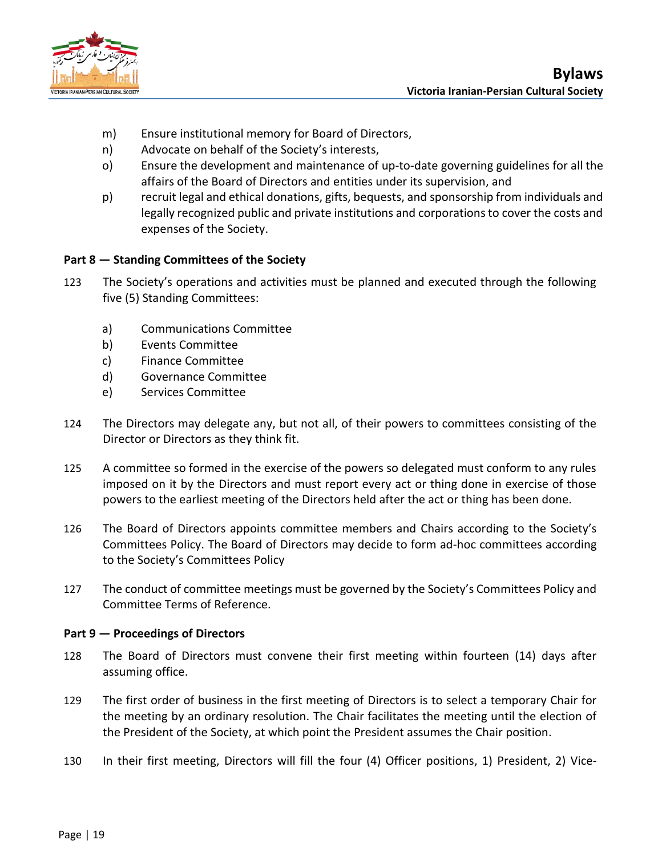

- m) Ensure institutional memory for Board of Directors,
- n) Advocate on behalf of the Society's interests,
- o) Ensure the development and maintenance of up-to-date governing guidelines for all the affairs of the Board of Directors and entities under its supervision, and
- p) recruit legal and ethical donations, gifts, bequests, and sponsorship from individuals and legally recognized public and private institutions and corporations to cover the costs and expenses of the Society.

## <span id="page-21-0"></span>**Part 8 — Standing Committees of the Society**

- 123 The Society's operations and activities must be planned and executed through the following five (5) Standing Committees:
	- a) Communications Committee
	- b) Events Committee
	- c) Finance Committee
	- d) Governance Committee
	- e) Services Committee
- 124 The Directors may delegate any, but not all, of their powers to committees consisting of the Director or Directors as they think fit.
- 125 A committee so formed in the exercise of the powers so delegated must conform to any rules imposed on it by the Directors and must report every act or thing done in exercise of those powers to the earliest meeting of the Directors held after the act or thing has been done.
- 126 The Board of Directors appoints committee members and Chairs according to the Society's Committees Policy. The Board of Directors may decide to form ad-hoc committees according to the Society's Committees Policy
- 127 The conduct of committee meetings must be governed by the Society's Committees Policy and Committee Terms of Reference.

## <span id="page-21-1"></span>**Part 9 — Proceedings of Directors**

- 128 The Board of Directors must convene their first meeting within fourteen (14) days after assuming office.
- 129 The first order of business in the first meeting of Directors is to select a temporary Chair for the meeting by an ordinary resolution. The Chair facilitates the meeting until the election of the President of the Society, at which point the President assumes the Chair position.
- 130 In their first meeting, Directors will fill the four (4) Officer positions, 1) President, 2) Vice-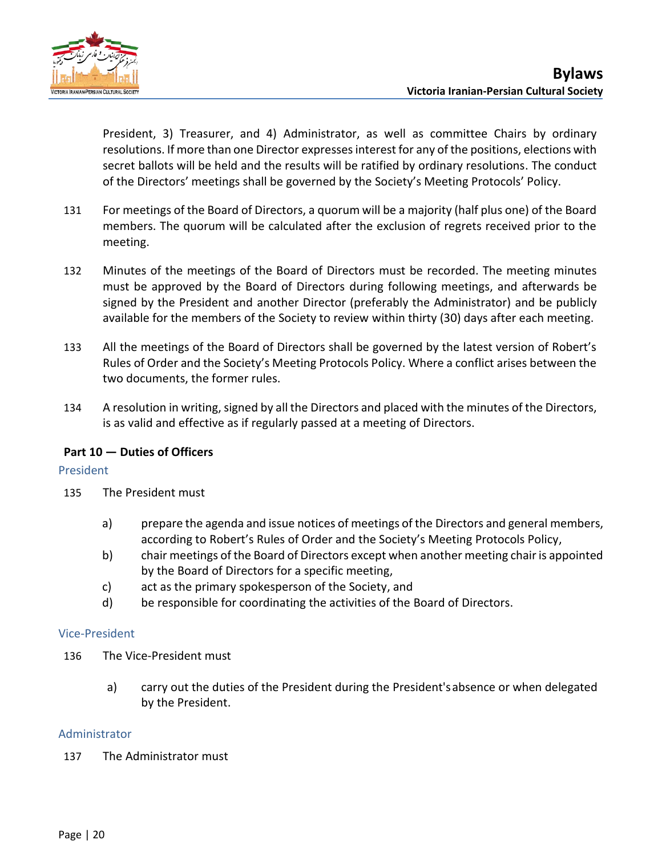

President, 3) Treasurer, and 4) Administrator, as well as committee Chairs by ordinary resolutions. If more than one Director expresses interest for any of the positions, elections with secret ballots will be held and the results will be ratified by ordinary resolutions. The conduct of the Directors' meetings shall be governed by the Society's Meeting Protocols' Policy.

- 131 For meetings of the Board of Directors, a quorum will be a majority (half plus one) of the Board members. The quorum will be calculated after the exclusion of regrets received prior to the meeting.
- 132 Minutes of the meetings of the Board of Directors must be recorded. The meeting minutes must be approved by the Board of Directors during following meetings, and afterwards be signed by the President and another Director (preferably the Administrator) and be publicly available for the members of the Society to review within thirty (30) days after each meeting.
- 133 All the meetings of the Board of Directors shall be governed by the latest version of Robert's Rules of Order and the Society's Meeting Protocols Policy. Where a conflict arises between the two documents, the former rules.
- 134 A resolution in writing, signed by all the Directors and placed with the minutes of the Directors, is as valid and effective as if regularly passed at a meeting of Directors.

## <span id="page-22-0"></span>**Part 10 — Duties of Officers**

## <span id="page-22-1"></span>President

- 135 The President must
	- a) prepare the agenda and issue notices of meetings of the Directors and general members, according to Robert's Rules of Order and the Society's Meeting Protocols Policy,
	- b) chair meetings of the Board of Directors except when another meeting chair is appointed by the Board of Directors for a specific meeting,
	- c) act as the primary spokesperson of the Society, and
	- d) be responsible for coordinating the activities of the Board of Directors.

## <span id="page-22-2"></span>Vice-President

- 136 The Vice-President must
	- a) carry out the duties of the President during the President'sabsence or when delegated by the President.

## <span id="page-22-3"></span>Administrator

137 The Administrator must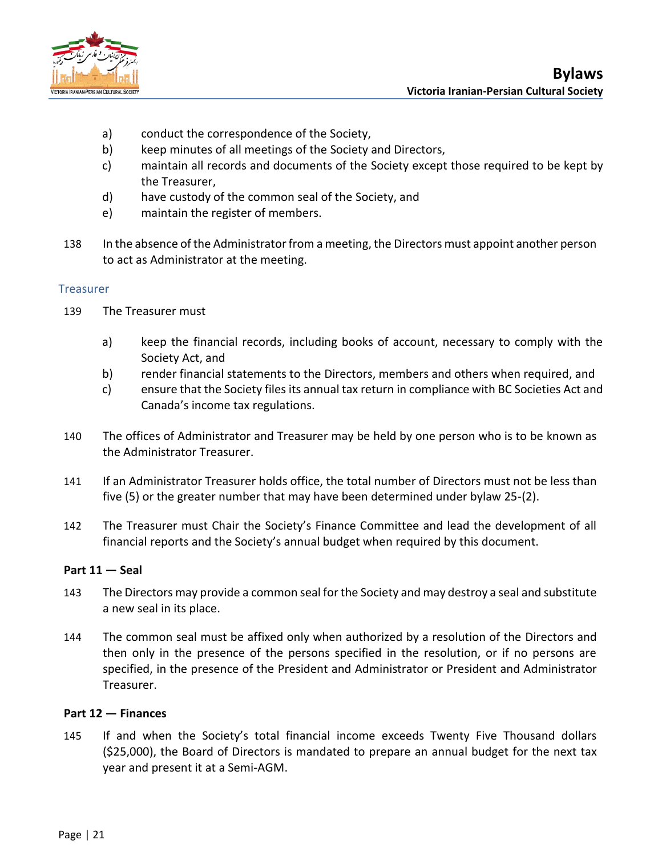

- a) conduct the correspondence of the Society,
- b) keep minutes of all meetings of the Society and Directors,
- c) maintain all records and documents of the Society except those required to be kept by the Treasurer,
- d) have custody of the common seal of the Society, and
- e) maintain the register of members.
- 138 In the absence of the Administrator from a meeting, the Directors must appoint another person to act as Administrator at the meeting.

## <span id="page-23-0"></span>Treasurer

- 139 The Treasurer must
	- a) keep the financial records, including books of account, necessary to comply with the Society Act, and
	- b) render financial statements to the Directors, members and others when required, and
	- c) ensure that the Society files its annual tax return in compliance with BC Societies Act and Canada's income tax regulations.
- 140 The offices of Administrator and Treasurer may be held by one person who is to be known as the Administrator Treasurer.
- 141 If an Administrator Treasurer holds office, the total number of Directors must not be less than five (5) or the greater number that may have been determined under bylaw 25-(2).
- 142 The Treasurer must Chair the Society's Finance Committee and lead the development of all financial reports and the Society's annual budget when required by this document.

## <span id="page-23-1"></span>**Part 11 — Seal**

- 143 The Directors may provide a common seal for the Society and may destroy a seal and substitute a new seal in its place.
- 144 The common seal must be affixed only when authorized by a resolution of the Directors and then only in the presence of the persons specified in the resolution, or if no persons are specified, in the presence of the President and Administrator or President and Administrator Treasurer.

## <span id="page-23-2"></span>**Part 12 — Finances**

145 If and when the Society's total financial income exceeds Twenty Five Thousand dollars (\$25,000), the Board of Directors is mandated to prepare an annual budget for the next tax year and present it at a Semi-AGM.